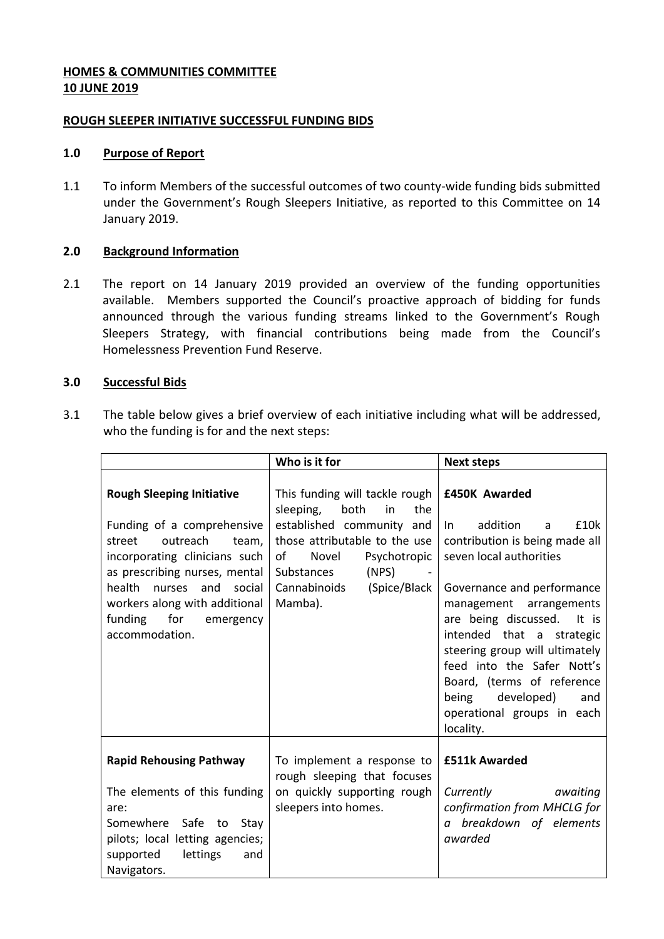## **HOMES & COMMUNITIES COMMITTEE 10 JUNE 2019**

### **ROUGH SLEEPER INITIATIVE SUCCESSFUL FUNDING BIDS**

### **1.0 Purpose of Report**

1.1 To inform Members of the successful outcomes of two county-wide funding bids submitted under the Government's Rough Sleepers Initiative, as reported to this Committee on 14 January 2019.

# **2.0 Background Information**

2.1 The report on 14 January 2019 provided an overview of the funding opportunities available. Members supported the Council's proactive approach of bidding for funds announced through the various funding streams linked to the Government's Rough Sleepers Strategy, with financial contributions being made from the Council's Homelessness Prevention Fund Reserve.

### **3.0 Successful Bids**

3.1 The table below gives a brief overview of each initiative including what will be addressed, who the funding is for and the next steps:

|                                                                                                                                                                                                                                                                                        | Who is it for                                                                                                                                                                                                                   | <b>Next steps</b>                                                                                                                                                                                                                                                                                                                                                                                            |
|----------------------------------------------------------------------------------------------------------------------------------------------------------------------------------------------------------------------------------------------------------------------------------------|---------------------------------------------------------------------------------------------------------------------------------------------------------------------------------------------------------------------------------|--------------------------------------------------------------------------------------------------------------------------------------------------------------------------------------------------------------------------------------------------------------------------------------------------------------------------------------------------------------------------------------------------------------|
| <b>Rough Sleeping Initiative</b><br>Funding of a comprehensive<br>outreach<br>street<br>team,<br>incorporating clinicians such<br>as prescribing nurses, mental<br>health<br>and<br>nurses<br>social<br>workers along with additional<br>funding<br>for<br>emergency<br>accommodation. | This funding will tackle rough<br>sleeping,<br>both<br>in<br>the<br>established community and<br>those attributable to the use<br>of<br>Novel<br>Psychotropic<br>(NPS)<br>Substances<br>Cannabinoids<br>(Spice/Black<br>Mamba). | <b>£450K Awarded</b><br>addition<br>£10k<br>In.<br>a<br>contribution is being made all<br>seven local authorities<br>Governance and performance<br>management arrangements<br>are being discussed.<br>It is<br>intended that a strategic<br>steering group will ultimately<br>feed into the Safer Nott's<br>Board, (terms of reference<br>being developed)<br>and<br>operational groups in each<br>locality. |
| <b>Rapid Rehousing Pathway</b><br>The elements of this funding<br>are:<br>Somewhere<br>Safe to<br>Stay<br>pilots; local letting agencies;<br>lettings<br>supported<br>and<br>Navigators.                                                                                               | To implement a response to<br>rough sleeping that focuses<br>on quickly supporting rough<br>sleepers into homes.                                                                                                                | <b>£511k Awarded</b><br>Currently<br>awaiting<br>confirmation from MHCLG for<br>a breakdown of elements<br>awarded                                                                                                                                                                                                                                                                                           |